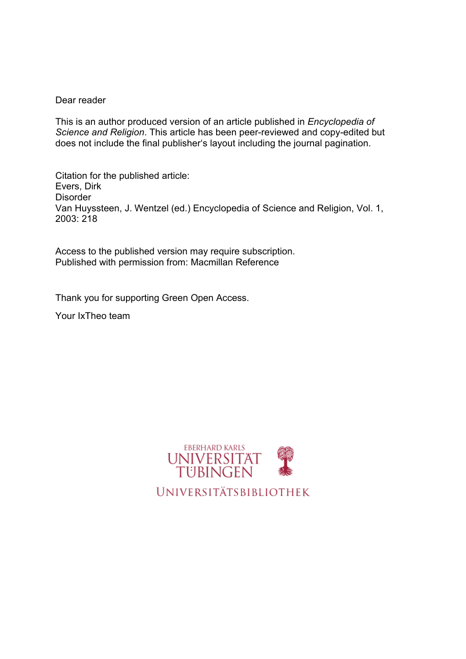## Dear reader

This is an author produced version of an article published in *Encyclopedia of Science and Religion*. This article has been peer-reviewed and copy-edited but does not include the final publisher's layout including the journal pagination.

Citation for the published article: Evers, Dirk **Disorder** Van Huyssteen, J. Wentzel (ed.) Encyclopedia of Science and Religion, Vol. 1, 2003: 218

Access to the published version may require subscription. Published with permission from: Macmillan Reference

Thank you for supporting Green Open Access.

Your IxTheo team